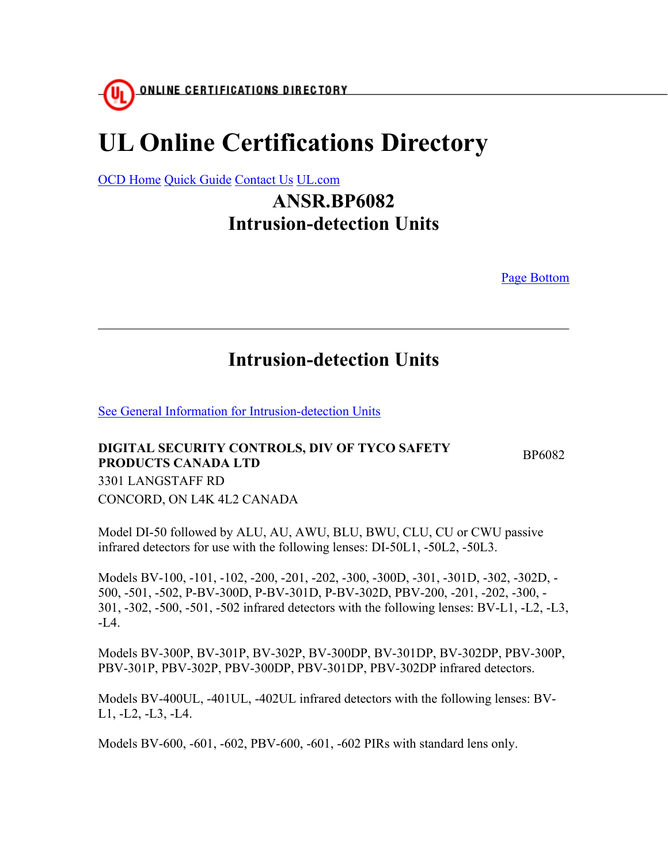## **UL Online Certifications Directory**

OCD Home Quick Guide Contact Us UL.com

## **ANSR.BP6082 Intrusion-detection Units**

Page Bottom

## **Intrusion-detection Units**

See General Information for Intrusion-detection Units

## **DIGITAL SECURITY CONTROLS, DIV OF TYCO SAFETY PRODUCTS CANADA LTD** BRODUCTS CANADA LTD 3301 LANGSTAFF RD CONCORD, ON L4K 4L2 CANADA

Model DI-50 followed by ALU, AU, AWU, BLU, BWU, CLU, CU or CWU passive infrared detectors for use with the following lenses: DI-50L1, -50L2, -50L3.

Models BV-100, -101, -102, -200, -201, -202, -300, -300D, -301, -301D, -302, -302D, - 500, -501, -502, P-BV-300D, P-BV-301D, P-BV-302D, PBV-200, -201, -202, -300, - 301, -302, -500, -501, -502 infrared detectors with the following lenses: BV-L1, -L2, -L3,  $-L4$ .

Models BV-300P, BV-301P, BV-302P, BV-300DP, BV-301DP, BV-302DP, PBV-300P, PBV-301P, PBV-302P, PBV-300DP, PBV-301DP, PBV-302DP infrared detectors.

Models BV-400UL, -401UL, -402UL infrared detectors with the following lenses: BV-L1, -L2, -L3, -L4.

Models BV-600, -601, -602, PBV-600, -601, -602 PIRs with standard lens only.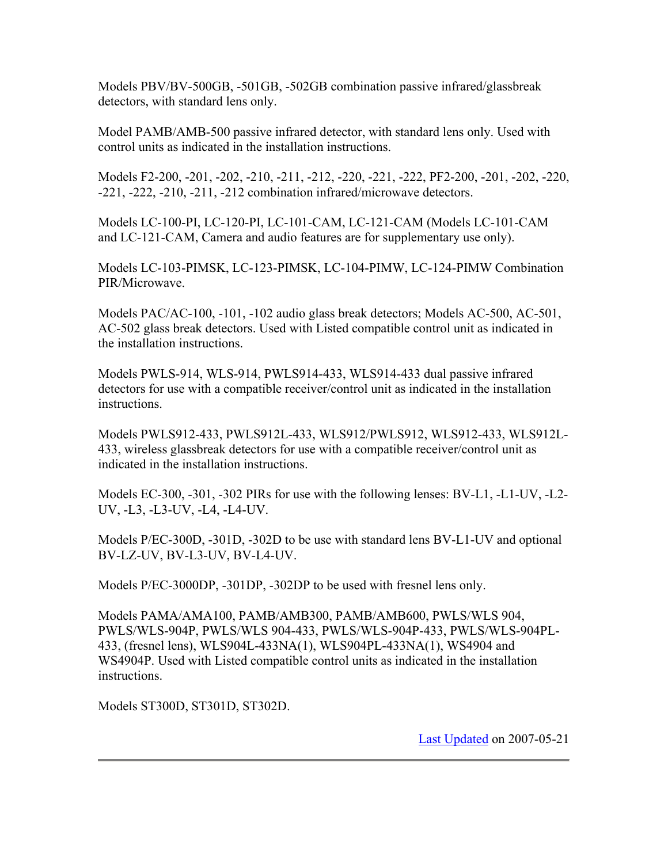Models PBV/BV-500GB, -501GB, -502GB combination passive infrared/glassbreak detectors, with standard lens only.

Model PAMB/AMB-500 passive infrared detector, with standard lens only. Used with control units as indicated in the installation instructions.

Models F2-200, -201, -202, -210, -211, -212, -220, -221, -222, PF2-200, -201, -202, -220, -221, -222, -210, -211, -212 combination infrared/microwave detectors.

Models LC-100-PI, LC-120-PI, LC-101-CAM, LC-121-CAM (Models LC-101-CAM and LC-121-CAM, Camera and audio features are for supplementary use only).

Models LC-103-PIMSK, LC-123-PIMSK, LC-104-PIMW, LC-124-PIMW Combination PIR/Microwave.

Models PAC/AC-100, -101, -102 audio glass break detectors; Models AC-500, AC-501, AC-502 glass break detectors. Used with Listed compatible control unit as indicated in the installation instructions.

Models PWLS-914, WLS-914, PWLS914-433, WLS914-433 dual passive infrared detectors for use with a compatible receiver/control unit as indicated in the installation instructions.

Models PWLS912-433, PWLS912L-433, WLS912/PWLS912, WLS912-433, WLS912L-433, wireless glassbreak detectors for use with a compatible receiver/control unit as indicated in the installation instructions.

Models EC-300, -301, -302 PIRs for use with the following lenses: BV-L1, -L1-UV, -L2- UV, -L3, -L3-UV, -L4, -L4-UV.

Models P/EC-300D, -301D, -302D to be use with standard lens BV-L1-UV and optional BV-LZ-UV, BV-L3-UV, BV-L4-UV.

Models P/EC-3000DP, -301DP, -302DP to be used with fresnel lens only.

Models PAMA/AMA100, PAMB/AMB300, PAMB/AMB600, PWLS/WLS 904, PWLS/WLS-904P, PWLS/WLS 904-433, PWLS/WLS-904P-433, PWLS/WLS-904PL-433, (fresnel lens), WLS904L-433NA(1), WLS904PL-433NA(1), WS4904 and WS4904P. Used with Listed compatible control units as indicated in the installation instructions.

Models ST300D, ST301D, ST302D.

Last Updated on 2007-05-21